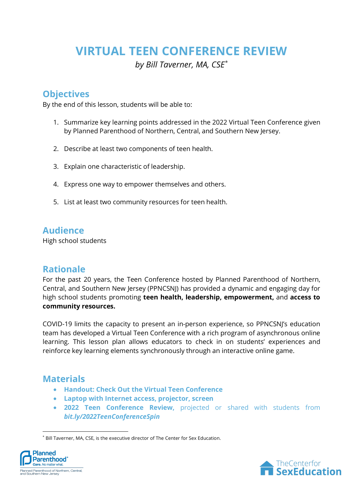# **VIRTUAL TEEN CONFERENCE REVIEW**

*by Bill Taverner, MA, CSE\**

## **Objectives**

By the end of this lesson, students will be able to:

- 1. Summarize key learning points addressed in the 2022 Virtual Teen Conference given by Planned Parenthood of Northern, Central, and Southern New Jersey.
- 2. Describe at least two components of teen health.
- 3. Explain one characteristic of leadership.
- 4. Express one way to empower themselves and others.
- 5. List at least two community resources for teen health.

### **Audience**

High school students

### **Rationale**

For the past 20 years, the Teen Conference hosted by Planned Parenthood of Northern, Central, and Southern New Jersey (PPNCSNJ) has provided a dynamic and engaging day for high school students promoting **teen health, leadership, empowerment,** and **access to community resources.**

COVID-19 limits the capacity to present an in-person experience, so PPNCSNJ's education team has developed a Virtual Teen Conference with a rich program of asynchronous online learning. This lesson plan allows educators to check in on students' experiences and reinforce key learning elements synchronously through an interactive online game.

### **Materials**

- **Handout: Check Out the Virtual Teen Conference**
- **Laptop with Internet access, projector, screen**
- **2022 Teen Conference Review,** projected or shared with students from *bit.ly/2022TeenConferenceSpin*

<sup>\*</sup> Bill Taverner, MA, CSE, is the executive director of The Center for Sex Education.



 $\overline{a}$ 

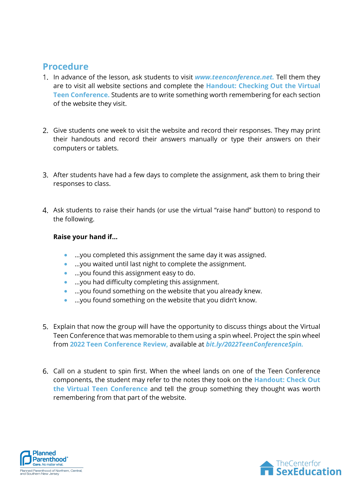#### **Procedure**

- In advance of the lesson, ask students to visit *www.teenconference.net.* Tell them they are to visit all website sections and complete the **Handout: Checking Out the Virtual Teen Conference.** Students are to write something worth remembering for each section of the website they visit.
- 2. Give students one week to visit the website and record their responses. They may print their handouts and record their answers manually or type their answers on their computers or tablets.
- After students have had a few days to complete the assignment, ask them to bring their responses to class.
- Ask students to raise their hands (or use the virtual "raise hand" button) to respond to the following.

#### **Raise your hand if…**

- …you completed this assignment the same day it was assigned.
- …you waited until last night to complete the assignment.
- …you found this assignment easy to do.
- …you had difficulty completing this assignment.
- …you found something on the website that you already knew.
- …you found something on the website that you didn't know.
- Explain that now the group will have the opportunity to discuss things about the Virtual Teen Conference that was memorable to them using a spin wheel. Project the spin wheel from **2022 Teen Conference Review,** available at *bit.ly/2022TeenConferenceSpin.*
- Call on a student to spin first. When the wheel lands on one of the Teen Conference components, the student may refer to the notes they took on the **Handout: Check Out the Virtual Teen Conference** and tell the group something they thought was worth remembering from that part of the website.



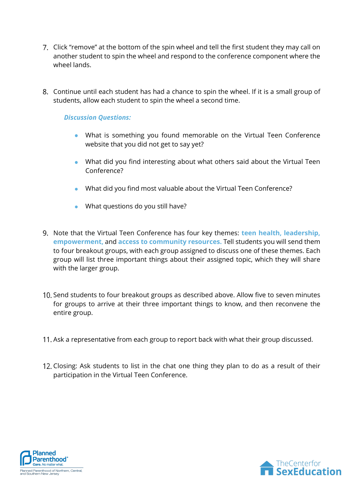- 7. Click "remove" at the bottom of the spin wheel and tell the first student they may call on another student to spin the wheel and respond to the conference component where the wheel lands.
- Continue until each student has had a chance to spin the wheel. If it is a small group of students, allow each student to spin the wheel a second time.

#### *Discussion Questions:*

- What is something you found memorable on the Virtual Teen Conference website that you did not get to say yet?
- What did you find interesting about what others said about the Virtual Teen Conference?
- What did you find most valuable about the Virtual Teen Conference?
- What questions do you still have?
- Note that the Virtual Teen Conference has four key themes: **teen health, leadership, empowerment,** and **access to community resources.** Tell students you will send them to four breakout groups, with each group assigned to discuss one of these themes. Each group will list three important things about their assigned topic, which they will share with the larger group.
- 10. Send students to four breakout groups as described above. Allow five to seven minutes for groups to arrive at their three important things to know, and then reconvene the entire group.
- 11. Ask a representative from each group to report back with what their group discussed.
- 12. Closing: Ask students to list in the chat one thing they plan to do as a result of their participation in the Virtual Teen Conference.



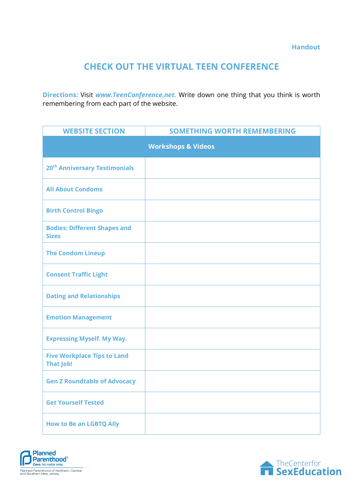### **CHECK OUT THE VIRTUAL TEEN CONFERENCE**

**Directions:** Visit *www.TeenConference.net.* Write down one thing that you think is worth remembering from each part of the website.

| <b>WEBSITE SECTION</b>                                 | <b>SOMETHING WORTH REMEMBERING</b> |
|--------------------------------------------------------|------------------------------------|
|                                                        | <b>Workshops &amp; Videos</b>      |
| 20 <sup>th</sup> Anniversary Testimonials              |                                    |
| <b>All About Condoms</b>                               |                                    |
| <b>Birth Control Bingo</b>                             |                                    |
| <b>Bodies: Different Shapes and</b><br><b>Sizes</b>    |                                    |
| <b>The Condom Lineup</b>                               |                                    |
| <b>Consent Traffic Light</b>                           |                                    |
| <b>Dating and Relationships</b>                        |                                    |
| <b>Emotion Management</b>                              |                                    |
| <b>Expressing Myself. My Way.</b>                      |                                    |
| <b>Five Workplace Tips to Land</b><br><b>That Job!</b> |                                    |
| <b>Gen Z Roundtable of Advocacy</b>                    |                                    |
| <b>Get Yourself Tested</b>                             |                                    |
| <b>How to Be an LGBTQ Ally</b>                         |                                    |



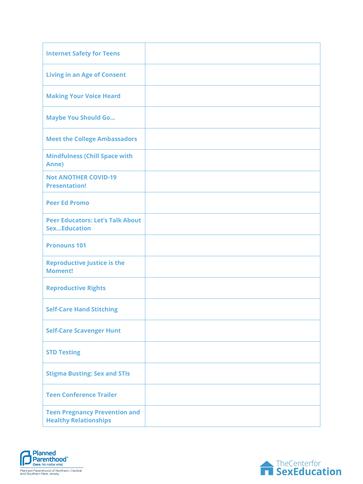| <b>Internet Safety for Teens</b>                                     |  |
|----------------------------------------------------------------------|--|
| <b>Living in an Age of Consent</b>                                   |  |
| <b>Making Your Voice Heard</b>                                       |  |
| <b>Maybe You Should Go</b>                                           |  |
| <b>Meet the College Ambassadors</b>                                  |  |
| <b>Mindfulness (Chill Space with</b><br>Anne)                        |  |
| <b>Not ANOTHER COVID-19</b><br><b>Presentation!</b>                  |  |
| <b>Peer Ed Promo</b>                                                 |  |
| <b>Peer Educators: Let's Talk About</b><br><b>SexEducation</b>       |  |
| <b>Pronouns 101</b>                                                  |  |
| <b>Reproductive Justice is the</b><br><b>Moment!</b>                 |  |
| <b>Reproductive Rights</b>                                           |  |
| <b>Self-Care Hand Stitching</b>                                      |  |
| <b>Self-Care Scavenger Hunt</b>                                      |  |
| <b>STD Testing</b>                                                   |  |
| <b>Stigma Busting: Sex and STIs</b>                                  |  |
| <b>Teen Conference Trailer</b>                                       |  |
| <b>Teen Pregnancy Prevention and</b><br><b>Healthy Relationships</b> |  |



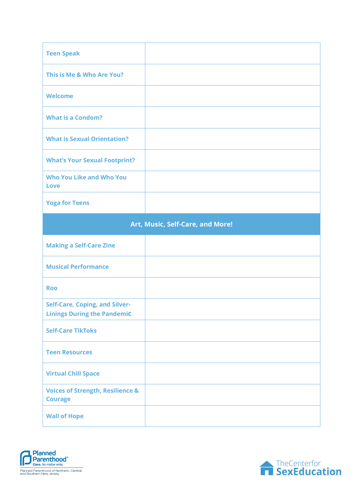| <b>Teen Speak</b>                                                           |  |  |
|-----------------------------------------------------------------------------|--|--|
| This is Me & Who Are You?                                                   |  |  |
| <b>Welcome</b>                                                              |  |  |
| <b>What is a Condom?</b>                                                    |  |  |
| <b>What is Sexual Orientation?</b>                                          |  |  |
| <b>What's Your Sexual Footprint?</b>                                        |  |  |
| <b>Who You Like and Who You</b><br><b>Love</b>                              |  |  |
| <b>Yoga for Teens</b>                                                       |  |  |
| Art, Music, Self-Care, and More!                                            |  |  |
|                                                                             |  |  |
| <b>Making a Self-Care Zine</b>                                              |  |  |
| <b>Musical Performance</b>                                                  |  |  |
| <b>Roo</b>                                                                  |  |  |
| <b>Self-Care, Coping, and Silver-</b><br><b>Linings During the Pandemic</b> |  |  |
| <b>Self-Care TikToks</b>                                                    |  |  |
| <b>Teen Resources</b>                                                       |  |  |
| <b>Virtual Chill Space</b>                                                  |  |  |
| <b>Voices of Strength, Resilience &amp;</b><br><b>Courage</b>               |  |  |